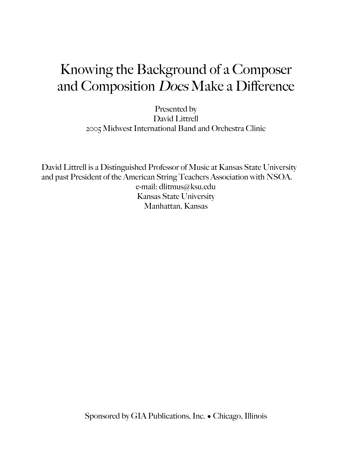# Knowing the Background of a Composer and Composition Does Make a Difference

Presented by David Littrell 2005 Midwest International Band and Orchestra Clinic

David Littrell is a Distinguished Professor of Music at Kansas State University and past President of the American String Teachers Association with NSOA. e-mail: dlitmus@ksu.edu Kansas State University Manhattan, Kansas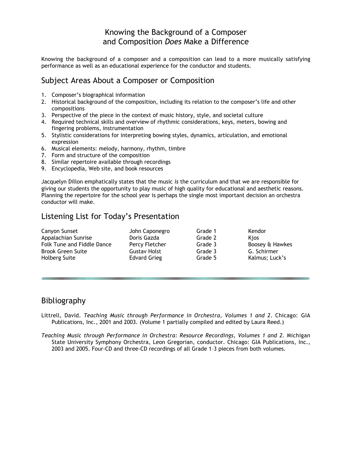## Knowing the Background of a Composer and Composition *Does* Make a Difference

Knowing the background of a composer and a composition can lead to a more musically satisfying performance as well as an educational experience for the conductor and students.

## Subject Areas About a Composer or Composition

- 1. Composer's biographical information
- 2. Historical background of the composition, including its relation to the composer's life and other compositions
- 3. Perspective of the piece in the context of music history, style, and societal culture
- 4. Required technical skills and overview of rhythmic considerations, keys, meters, bowing and fingering problems, instrumentation
- 5. Stylistic considerations for interpreting bowing styles, dynamics, articulation, and emotional expression
- 6. Musical elements: melody, harmony, rhythm, timbre
- 7. Form and structure of the composition
- 8. Similar repertoire available through recordings
- 9. Encyclopedia, Web site, and book resources

Jacquelyn Dillon emphatically states that the music *is* the curriculum and that we are responsible for giving our students the opportunity to play music of high quality for educational and aesthetic reasons. Planning the repertoire for the school year is perhaps the single most important decision an orchestra conductor will make.

#### Listening List for Today's Presentation

| Canyon Sunset              | John Caponegro      | Grade 1 | Kendor          |
|----------------------------|---------------------|---------|-----------------|
| Appalachian Sunrise        | Doris Gazda         | Grade 2 | <b>Kios</b>     |
| Folk Tune and Fiddle Dance | Percy Fletcher      | Grade 3 | Boosey & Hawkes |
| Brook Green Suite          | <b>Gustav Holst</b> | Grade 3 | G. Schirmer     |
| <b>Holberg Suite</b>       | <b>Edvard Grieg</b> | Grade 5 | Kalmus; Luck's  |
|                            |                     |         |                 |

#### Bibliography

- Littrell, David. *Teaching Music through Performance in Orchestra, Volumes 1 and 2. Chicago: GIA* Publications, Inc., 2001 and 2003. (Volume 1 partially compiled and edited by Laura Reed.)
- *Teaching Music through Performance in Orchestra: Resource Recordings, Volumes 1 and 2.* Michigan State University Symphony Orchestra, Leon Gregorian, conductor. Chicago: GIA Publications, Inc., 2003 and 2005. Four-CD and three-CD recordings of all Grade 1–3 pieces from both volumes.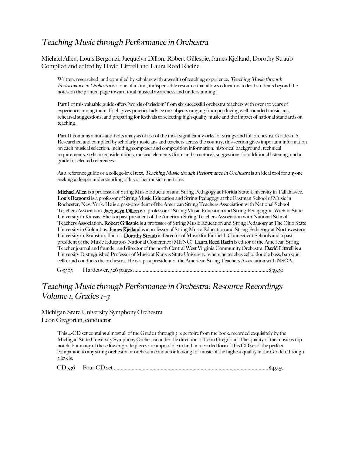## Teaching Music through Performance in Orchestra

Michael Allen, Louis Bergonzi, Jacquelyn Dillon, Robert Gillespie, James Kjelland, Dorothy Straub Compiled and edited by David Littrell and Laura Reed Racine

Written, researched, and compiled by scholars with a wealth of teaching experience, Teaching Music through Performance in Orchestra is a one-of-a-kind, indispensable resource that allows educators to lead students beyond the notes on the printed page toward total musical awareness and understanding!

Part I of this valuable guide offers "words of wisdom" from six successful orchestra teachers with over 150 years of experience among them. Each gives practical advice on subjects ranging from producing well-rounded musicians, rehearsal suggestions, and preparing for festivals to selecting high-quality music and the impact of national standards on teaching.

Part II contains a nuts-and-bolts analysis of 100 of the most significant works for strings and full orchestra, Grades 1–6. Researched and compiled by scholarly musicians and teachers across the country, this section gives important information on each musical selection, including composer and composition information, historical background, technical requirements, stylistic considerations, musical elements (form and structure), suggestions for additional listening, and a guide to selected references.

As a reference guide or a college-level text, Teaching Music though Performance in Orchestra is an ideal tool for anyone seeking a deeper understanding of his or her music repertoire.

Michael Allen is a professor of String Music Education and String Pedagogy at Florida State University in Tallahassee. Louis Bergonzi is a professor of String Music Education and String Pedagogy at the Eastman School of Music in Rochester, New York. He is a past-president of the American String Teachers Association with National School Teachers Association. Jacquelyn Dillon is a professor of String Music Education and String Pedagogy at Wichita State University in Kansas. She is a past president of the American String Teachers Association with National School Teachers Association. Robert Gillespie is a professor of String Music Education and String Pedagogy at The Ohio State University in Columbus. James Kjelland is a professor of String Music Education and String Pedagogy at Northwestern University in Evanston, Illinois. Dorothy Straub is Director of Music for Fairfield, Connecticut Schools and a past president of the Music Educators National Conference (MENC). Laura Reed Racin is editor of the American String Teacher journal and founder and director of the north Central West Virginia Community Orchestra. David Littrell is a University Distinguished Professor of Music at Kansas State University, where he teaches cello, double bass, baroque cello, and conducts the orchestra. He is a past president of the American String Teachers Association with NSOA.

G-5565 Hardcover, 526 pages.................................................................................................. \$39.50

# Teaching Music through Performance in Orchestra: Resource Recordings Volume *I*, Grades *1*-3

Michigan State University Symphony Orchestra Leon Gregorian, conductor

> This 4-CD set contains almost all of the Grade 1 through 3 repertoire from the book, recorded exquisitely by the Michigan State University Symphony Orchestra under the direction of Leon Gregorian. The quality of the music is topnotch, but many of these lower-grade pieces are impossible to find in recorded form. This CD set is the perfect companion to any string orchestra or orchestra conductor looking for music of the highest quality in the Grade 1 through 3 levels.

CD-536 Four-CD set ................................................................................................................ \$49.50